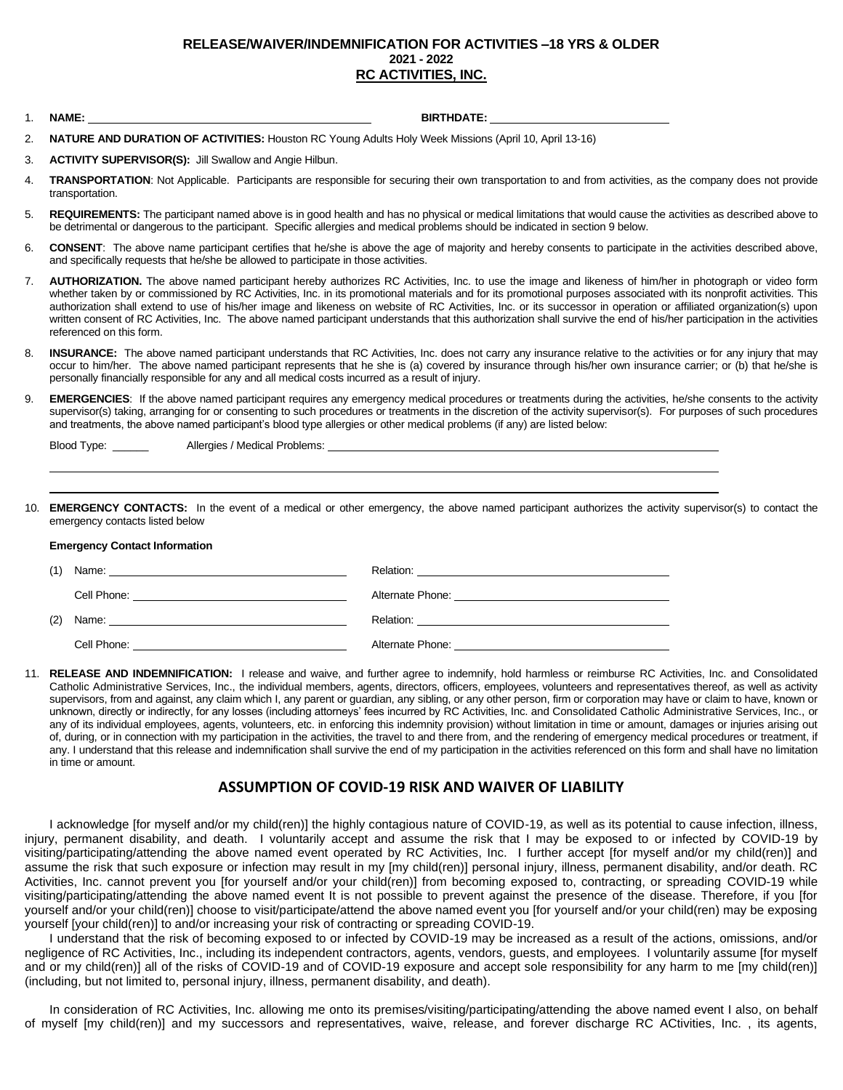## **RELEASE/WAIVER/INDEMNIFICATION FOR ACTIVITIES –18 YRS & OLDER 2021 - 2022 RC ACTIVITIES, INC.**

1. **NAME: BIRTHDATE:**

- 2. **NATURE AND DURATION OF ACTIVITIES:** Houston RC Young Adults Holy Week Missions (April 10, April 13-16)
- 3. **ACTIVITY SUPERVISOR(S):** Jill Swallow and Angie Hilbun.
- 4. **TRANSPORTATION**: Not Applicable. Participants are responsible for securing their own transportation to and from activities, as the company does not provide transportation.
- 5. **REQUIREMENTS:** The participant named above is in good health and has no physical or medical limitations that would cause the activities as described above to be detrimental or dangerous to the participant. Specific allergies and medical problems should be indicated in section 9 below.
- 6. **CONSENT**: The above name participant certifies that he/she is above the age of majority and hereby consents to participate in the activities described above, and specifically requests that he/she be allowed to participate in those activities.
- 7. **AUTHORIZATION.** The above named participant hereby authorizes RC Activities, Inc. to use the image and likeness of him/her in photograph or video form whether taken by or commissioned by RC Activities, Inc. in its promotional materials and for its promotional purposes associated with its nonprofit activities. This authorization shall extend to use of his/her image and likeness on website of RC Activities, Inc. or its successor in operation or affiliated organization(s) upon written consent of RC Activities, Inc. The above named participant understands that this authorization shall survive the end of his/her participation in the activities referenced on this form.
- 8. **INSURANCE:** The above named participant understands that RC Activities, Inc. does not carry any insurance relative to the activities or for any injury that may occur to him/her. The above named participant represents that he she is (a) covered by insurance through his/her own insurance carrier; or (b) that he/she is personally financially responsible for any and all medical costs incurred as a result of injury.
- 9. **EMERGENCIES**: If the above named participant requires any emergency medical procedures or treatments during the activities, he/she consents to the activity supervisor(s) taking, arranging for or consenting to such procedures or treatments in the discretion of the activity supervisor(s). For purposes of such procedures and treatments, the above named participant's blood type allergies or other medical problems (if any) are listed below:

| Blood Type: | Allergies / Medical Problems: |  |
|-------------|-------------------------------|--|
|             |                               |  |

10. **EMERGENCY CONTACTS:** In the event of a medical or other emergency, the above named participant authorizes the activity supervisor(s) to contact the emergency contacts listed below

## **Emergency Contact Information**

11. **RELEASE AND INDEMNIFICATION:** I release and waive, and further agree to indemnify, hold harmless or reimburse RC Activities, Inc. and Consolidated Catholic Administrative Services, Inc., the individual members, agents, directors, officers, employees, volunteers and representatives thereof, as well as activity supervisors, from and against, any claim which I, any parent or guardian, any sibling, or any other person, firm or corporation may have or claim to have, known or unknown, directly or indirectly, for any losses (including attorneys' fees incurred by RC Activities, Inc. and Consolidated Catholic Administrative Services, Inc., or any of its individual employees, agents, volunteers, etc. in enforcing this indemnity provision) without limitation in time or amount, damages or injuries arising out of, during, or in connection with my participation in the activities, the travel to and there from, and the rendering of emergency medical procedures or treatment, if any. I understand that this release and indemnification shall survive the end of my participation in the activities referenced on this form and shall have no limitation in time or amount.

## **ASSUMPTION OF COVID-19 RISK AND WAIVER OF LIABILITY**

I acknowledge [for myself and/or my child(ren)] the highly contagious nature of COVID-19, as well as its potential to cause infection, illness, injury, permanent disability, and death. I voluntarily accept and assume the risk that I may be exposed to or infected by COVID-19 by visiting/participating/attending the above named event operated by RC Activities, Inc. I further accept [for myself and/or my child(ren)] and assume the risk that such exposure or infection may result in my [my child(ren)] personal injury, illness, permanent disability, and/or death. RC Activities, Inc. cannot prevent you [for yourself and/or your child(ren)] from becoming exposed to, contracting, or spreading COVID-19 while visiting/participating/attending the above named event It is not possible to prevent against the presence of the disease. Therefore, if you [for yourself and/or your child(ren)] choose to visit/participate/attend the above named event you [for yourself and/or your child(ren) may be exposing yourself [your child(ren)] to and/or increasing your risk of contracting or spreading COVID-19.

I understand that the risk of becoming exposed to or infected by COVID-19 may be increased as a result of the actions, omissions, and/or negligence of RC Activities, Inc., including its independent contractors, agents, vendors, guests, and employees. I voluntarily assume [for myself and or my child(ren)] all of the risks of COVID-19 and of COVID-19 exposure and accept sole responsibility for any harm to me [my child(ren)] (including, but not limited to, personal injury, illness, permanent disability, and death).

In consideration of RC Activities, Inc. allowing me onto its premises/visiting/participating/attending the above named event I also, on behalf of myself [my child(ren)] and my successors and representatives, waive, release, and forever discharge RC ACtivities, Inc. , its agents,